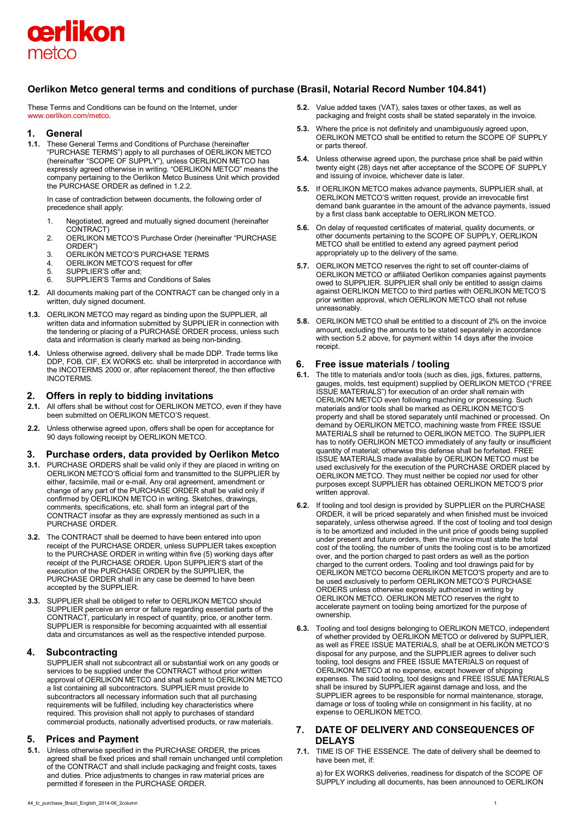

# **Oerlikon Metco general terms and conditions of purchase (Brasil, Notarial Record Number 104.841)**

These Terms and Conditions can be found on the Internet, under [www.oerlikon.com/metco.](http://www.oerlikon.com/metco)

## **1. General**

**1.1.** These General Terms and Conditions of Purchase (hereinafter "PURCHASE TERMS") apply to all purchases of OERLIKON METCO (hereinafter "SCOPE OF SUPPLY"), unless OERLIKON METCO has expressly agreed otherwise in writing. "OERLIKON METCO" means the company pertaining to the Oerlikon Metco Business Unit which provided the PURCHASE ORDER as defined in 1.2.2.

In case of contradiction between documents, the following order of precedence shall apply:

- 1. Negotiated, agreed and mutually signed document (hereinafter CONTRACT)
- 2. OERLIKON METCO'S Purchase Order (hereinafter "PURCHASE ORDER")
- 3. OERLIKON METCO'S PURCHASE TERMS
- 4. OERLIKON METCO'S request for offer<br>5. SUPPLIER'S offer and:
- SUPPLIER'S offer and:
- 6. SUPPLIER'S Terms and Conditions of Sales
- **1.2.** All documents making part of the CONTRACT can be changed only in a written, duly signed document.
- **1.3.** OERLIKON METCO may regard as binding upon the SUPPLIER, all written data and information submitted by SUPPLIER in connection with the tendering or placing of a PURCHASE ORDER process, unless such data and information is clearly marked as being non-binding.
- **1.4.** Unless otherwise agreed, delivery shall be made DDP. Trade terms like DDP, FOB, CIF, EX WORKS etc. shall be interpreted in accordance with the INCOTERMS 2000 or, after replacement thereof, the then effective INCOTERMS.

# **2. Offers in reply to bidding invitations**

- **2.1.** All offers shall be without cost for OERLIKON METCO, even if they have been submitted on OERLIKON METCO'S request.
- **2.2.** Unless otherwise agreed upon, offers shall be open for acceptance for 90 days following receipt by OERLIKON METCO.

# **3. Purchase orders, data provided by Oerlikon Metco**

- **3.1.** PURCHASE ORDERS shall be valid only if they are placed in writing on OERLIKON METCO'S official form and transmitted to the SUPPLIER by either, facsimile, mail or e-mail. Any oral agreement, amendment or change of any part of the PURCHASE ORDER shall be valid only if confirmed by OERLIKON METCO in writing. Sketches, drawings, comments, specifications, etc. shall form an integral part of the CONTRACT insofar as they are expressly mentioned as such in a PURCHASE ORDER.
- **3.2.** The CONTRACT shall be deemed to have been entered into upon receipt of the PURCHASE ORDER, unless SUPPLIER takes exception to the PURCHASE ORDER in writing within five (5) working days after receipt of the PURCHASE ORDER. Upon SUPPLIER'S start of the execution of the PURCHASE ORDER by the SUPPLIER, the PURCHASE ORDER shall in any case be deemed to have been accepted by the SUPPLIER.
- **3.3.** SUPPLIER shall be obliged to refer to OERLIKON METCO should SUPPLIER perceive an error or failure regarding essential parts of the CONTRACT, particularly in respect of quantity, price, or another term. SUPPLIER is responsible for becoming acquainted with all essential data and circumstances as well as the respective intended purpose.

# **4. Subcontracting**

SUPPLIER shall not subcontract all or substantial work on any goods or services to be supplied under the CONTRACT without prior written approval of OERLIKON METCO and shall submit to OERLIKON METCO a list containing all subcontractors. SUPPLIER must provide to subcontractors all necessary information such that all purchasing requirements will be fulfilled, including key characteristics where required. This provision shall not apply to purchases of standard commercial products, nationally advertised products, or raw materials.

# **5. Prices and Payment**

**5.1.** Unless otherwise specified in the PURCHASE ORDER, the prices agreed shall be fixed prices and shall remain unchanged until completion of the CONTRACT and shall include packaging and freight costs, taxes and duties. Price adjustments to changes in raw material prices are permitted if foreseen in the PURCHASE ORDER.

- **5.2.** Value added taxes (VAT), sales taxes or other taxes, as well as packaging and freight costs shall be stated separately in the invoice.
- **5.3.** Where the price is not definitely and unambiguously agreed upon. OERLIKON METCO shall be entitled to return the SCOPE OF SUPPLY or parts thereof.
- **5.4.** Unless otherwise agreed upon, the purchase price shall be paid within twenty eight (28) days net after acceptance of the SCOPE OF SUPPLY and issuing of invoice, whichever date is later.
- **5.5.** If OERLIKON METCO makes advance payments, SUPPLIER shall, at OERLIKON METCO'S written request, provide an irrevocable first demand bank guarantee in the amount of the advance payments, issued by a first class bank acceptable to OERLIKON METCO.
- **5.6.** On delay of requested certificates of material, quality documents, or other documents pertaining to the SCOPE OF SUPPLY, OERLIKON METCO shall be entitled to extend any agreed payment period appropriately up to the delivery of the same.
- **5.7.** OERLIKON METCO reserves the right to set off counter-claims of OERLIKON METCO or affiliated Oerlikon companies against payments owed to SUPPLIER. SUPPLIER shall only be entitled to assign claims against OERLIKON METCO to third parties with OERLIKON METCO'S prior written approval, which OERLIKON METCO shall not refuse unreasonably.
- **5.8.** OERLIKON METCO shall be entitled to a discount of 2% on the invoice amount, excluding the amounts to be stated separately in accordance with section 5.2 above, for payment within 14 days after the invoice receipt.

# **6. Free issue materials / tooling**

- **6.1.** The title to materials and/or tools (such as dies, jigs, fixtures, patterns, gauges, molds, test equipment) supplied by OERLIKON METCO ("FREE ISSUE MATERIALS") for execution of an order shall remain with OERLIKON METCO even following machining or processing. Such materials and/or tools shall be marked as OERLIKON METCO'S property and shall be stored separately until machined or processed. On demand by OERLIKON METCO, machining waste from FREE ISSUE MATERIALS shall be returned to OERLIKON METCO. The SUPPLIER has to notify OERLIKON METCO immediately of any faulty or insufficient quantity of material; otherwise this defense shall be forfeited. FREE ISSUE MATERIALS made available by OERLIKON METCO must be used exclusively for the execution of the PURCHASE ORDER placed by OERLIKON METCO. They must neither be copied nor used for other purposes except SUPPLIER has obtained OERLIKON METCO'S prior written approval.
- **6.2.** If tooling and tool design is provided by SUPPLIER on the PURCHASE ORDER, it will be priced separately and when finished must be invoiced separately, unless otherwise agreed. If the cost of tooling and tool design is to be amortized and included in the unit price of goods being supplied under present and future orders, then the invoice must state the total cost of the tooling, the number of units the tooling cost is to be amortized over, and the portion charged to past orders as well as the portion charged to the current orders. Tooling and tool drawings paid for by OERLIKON METCO become OERLIKON METCO'S property and are to be used exclusively to perform OERLIKON METCO'S PURCHASE ORDERS unless otherwise expressly authorized in writing by OERLIKON METCO. OERLIKON METCO reserves the right to accelerate payment on tooling being amortized for the purpose of ownership.
- **6.3.** Tooling and tool designs belonging to OERLIKON METCO, independent of whether provided by OERLIKON METCO or delivered by SUPPLIER, as well as FREE ISSUE MATERIALS, shall be at OERLIKON METCO'S disposal for any purpose, and the SUPPLIER agrees to deliver such tooling, tool designs and FREE ISSUE MATERIALS on request of OERLIKON METCO at no expense, except however of shipping expenses. The said tooling, tool designs and FREE ISSUE MATERIALS shall be insured by SUPPLIER against damage and loss, and the SUPPLIER agrees to be responsible for normal maintenance, storage, damage or loss of tooling while on consignment in his facility, at no expense to OERLIKON METCO.

# **7. DATE OF DELIVERY AND CONSEQUENCES OF DELAYS**

**7.1.** TIME IS OF THE ESSENCE. The date of delivery shall be deemed to have been met, if:

a) for EX WORKS deliveries, readiness for dispatch of the SCOPE OF SUPPLY including all documents, has been announced to OERLIKON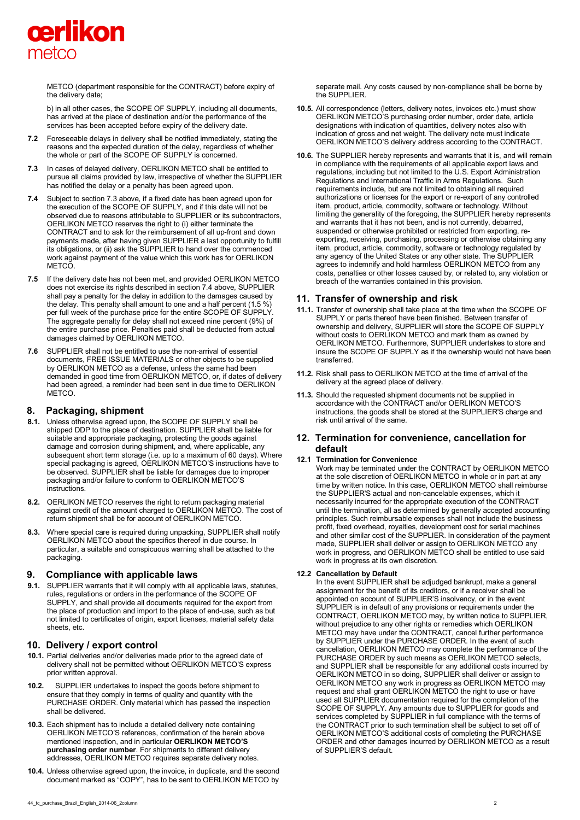

METCO (department responsible for the CONTRACT) before expiry of the delivery date;

b) in all other cases, the SCOPE OF SUPPLY, including all documents, has arrived at the place of destination and/or the performance of the services has been accepted before expiry of the delivery date.

- **7.2** Foreseeable delays in delivery shall be notified immediately, stating the reasons and the expected duration of the delay, regardless of whether the whole or part of the SCOPE OF SUPPLY is concerned.
- **7.3** In cases of delayed delivery, OERLIKON METCO shall be entitled to pursue all claims provided by law, irrespective of whether the SUPPLIER has notified the delay or a penalty has been agreed upon.
- **7.4** Subject to section 7.3 above, if a fixed date has been agreed upon for the execution of the SCOPE OF SUPPLY, and if this date will not be observed due to reasons attributable to SUPPLIER or its subcontractors, OERLIKON METCO reserves the right to (i) either terminate the CONTRACT and to ask for the reimbursement of all up-front and down payments made, after having given SUPPLIER a last opportunity to fulfill its obligations, or (ii) ask the SUPPLIER to hand over the commenced work against payment of the value which this work has for OERLIKON **METCO**
- **7.5** If the delivery date has not been met, and provided OERLIKON METCO does not exercise its rights described in section 7.4 above, SUPPLIER shall pay a penalty for the delay in addition to the damages caused by the delay. This penalty shall amount to one and a half percent (1.5 %) per full week of the purchase price for the entire SCOPE OF SUPPLY. The aggregate penalty for delay shall not exceed nine percent (9%) of the entire purchase price. Penalties paid shall be deducted from actual damages claimed by OERLIKON METCO.
- **7.6** SUPPLIER shall not be entitled to use the non-arrival of essential documents, FREE ISSUE MATERIALS or other objects to be supplied by OERLIKON METCO as a defense, unless the same had been demanded in good time from OERLIKON METCO, or, if dates of delivery had been agreed, a reminder had been sent in due time to OERLIKON METCO.

## **8. Packaging, shipment**

- **8.1.** Unless otherwise agreed upon, the SCOPE OF SUPPLY shall be shipped DDP to the place of destination. SUPPLIER shall be liable for suitable and appropriate packaging, protecting the goods against damage and corrosion during shipment, and, where applicable, any subsequent short term storage (i.e. up to a maximum of 60 days). Where special packaging is agreed, OERLIKON METCO'S instructions have to be observed. SUPPLIER shall be liable for damages due to improper packaging and/or failure to conform to OERLIKON METCO'S instructions.
- **8.2.** OERLIKON METCO reserves the right to return packaging material against credit of the amount charged to OERLIKON METCO. The cost of return shipment shall be for account of OERLIKON METCO.
- **8.3.** Where special care is required during unpacking, SUPPLIER shall notify OERLIKON METCO about the specifics thereof in due course. In particular, a suitable and conspicuous warning shall be attached to the packaging.

# **9. Compliance with applicable laws**

**9.1.** SUPPLIER warrants that it will comply with all applicable laws, statutes, rules, regulations or orders in the performance of the SCOPE OF SUPPLY, and shall provide all documents required for the export from the place of production and import to the place of end-use, such as but not limited to certificates of origin, export licenses, material safety data sheets, etc.

# **10. Delivery / export control**

- **10.1.** Partial deliveries and/or deliveries made prior to the agreed date of delivery shall not be permitted without OERLIKON METCO'S express prior written approval.
- **10.2.** SUPPLIER undertakes to inspect the goods before shipment to ensure that they comply in terms of quality and quantity with the PURCHASE ORDER. Only material which has passed the inspection shall be delivered.
- **10.3.** Each shipment has to include a detailed delivery note containing OERLIKON METCO'S references, confirmation of the herein above mentioned inspection, and in particular **OERLIKON METCO'S purchasing order number**. For shipments to different delivery addresses, OERLIKON METCO requires separate delivery notes.
- **10.4.** Unless otherwise agreed upon, the invoice, in duplicate, and the second document marked as "COPY", has to be sent to OERLIKON METCO by

separate mail. Any costs caused by non-compliance shall be borne by the SUPPLIER.

- **10.5.** All correspondence (letters, delivery notes, invoices etc.) must show OERLIKON METCO'S purchasing order number, order date, article designations with indication of quantities, delivery notes also with indication of gross and net weight. The delivery note must indicate OERLIKON METCO'S delivery address according to the CONTRACT.
- **10.6.** The SUPPLIER hereby represents and warrants that it is, and will remain in compliance with the requirements of all applicable export laws and regulations, including but not limited to the U.S. Export Administration Regulations and International Traffic in Arms Regulations. Such requirements include, but are not limited to obtaining all required authorizations or licenses for the export or re-export of any controlled item, product, article, commodity, software or technology. Without limiting the generality of the foregoing, the SUPPLIER hereby represents and warrants that it has not been, and is not currently, debarred, suspended or otherwise prohibited or restricted from exporting, reexporting, receiving, purchasing, processing or otherwise obtaining any item, product, article, commodity, software or technology regulated by any agency of the United States or any other state. The SUPPLIER agrees to indemnify and hold harmless OERLIKON METCO from any costs, penalties or other losses caused by, or related to, any violation or breach of the warranties contained in this provision.

# **11. Transfer of ownership and risk**

- **11.1.** Transfer of ownership shall take place at the time when the SCOPE OF SUPPLY or parts thereof have been finished. Between transfer of ownership and delivery, SUPPLIER will store the SCOPE OF SUPPLY without costs to OERLIKON METCO and mark them as owned by OERLIKON METCO. Furthermore, SUPPLIER undertakes to store and insure the SCOPE OF SUPPLY as if the ownership would not have been transferred.
- **11.2.** Risk shall pass to OERLIKON METCO at the time of arrival of the delivery at the agreed place of delivery.
- **11.3.** Should the requested shipment documents not be supplied in accordance with the CONTRACT and/or OERLIKON METCO'S instructions, the goods shall be stored at the SUPPLIER'S charge and risk until arrival of the same.

# **12. Termination for convenience, cancellation for default**

#### **12.1 Termination for Convenience**

Work may be terminated under the CONTRACT by OERLIKON METCO at the sole discretion of OERLIKON METCO in whole or in part at any time by written notice. In this case, OERLIKON METCO shall reimburse the SUPPLIER'S actual and non-cancelable expenses, which it necessarily incurred for the appropriate execution of the CONTRACT until the termination, all as determined by generally accepted accounting principles. Such reimbursable expenses shall not include the business profit, fixed overhead, royalties, development cost for serial machines and other similar cost of the SUPPLIER. In consideration of the payment made, SUPPLIER shall deliver or assign to OERLIKON METCO any work in progress, and OERLIKON METCO shall be entitled to use said work in progress at its own discretion.

#### **12.2 Cancellation by Default**

In the event SUPPLIER shall be adjudged bankrupt, make a general assignment for the benefit of its creditors, or if a receiver shall be appointed on account of SUPPLIER'S insolvency, or in the event SUPPLIER is in default of any provisions or requirements under the CONTRACT, OERLIKON METCO may, by written notice to SUPPLIER, without prejudice to any other rights or remedies which OERLIKON METCO may have under the CONTRACT, cancel further performance by SUPPLIER under the PURCHASE ORDER. In the event of such cancellation, OERLIKON METCO may complete the performance of the PURCHASE ORDER by such means as OERLIKON METCO selects, and SUPPLIER shall be responsible for any additional costs incurred by OERLIKON METCO in so doing, SUPPLIER shall deliver or assign to OERLIKON METCO any work in progress as OERLIKON METCO may request and shall grant OERLIKON METCO the right to use or have used all SUPPLIER documentation required for the completion of the SCOPE OF SUPPLY. Any amounts due to SUPPLIER for goods and services completed by SUPPLIER in full compliance with the terms of the CONTRACT prior to such termination shall be subject to set off of OERLIKON METCO'S additional costs of completing the PURCHASE ORDER and other damages incurred by OERLIKON METCO as a result of SUPPLIER'S default.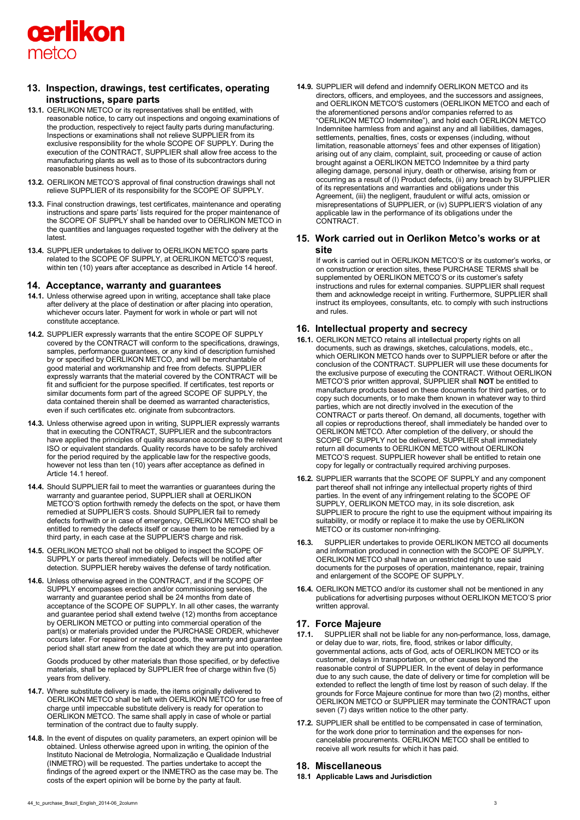

# **13. Inspection, drawings, test certificates, operating instructions, spare parts**

- **13.1.** OERLIKON METCO or its representatives shall be entitled, with reasonable notice, to carry out inspections and ongoing examinations of the production, respectively to reject faulty parts during manufacturing. Inspections or examinations shall not relieve SUPPLIER from its exclusive responsibility for the whole SCOPE OF SUPPLY. During the execution of the CONTRACT, SUPPLIER shall allow free access to the manufacturing plants as well as to those of its subcontractors during reasonable business hours.
- **13.2.** OERLIKON METCO'S approval of final construction drawings shall not relieve SUPPLIER of its responsibility for the SCOPE OF SUPPLY.
- **13.3.** Final construction drawings, test certificates, maintenance and operating instructions and spare parts' lists required for the proper maintenance of the SCOPE OF SUPPLY shall be handed over to OERLIKON METCO in the quantities and languages requested together with the delivery at the latest.
- **13.4.** SUPPLIER undertakes to deliver to OERLIKON METCO spare parts related to the SCOPE OF SUPPLY, at OERLIKON METCO'S request, within ten (10) years after acceptance as described in Article 14 hereof.

## **14. Acceptance, warranty and guarantees**

- **14.1.** Unless otherwise agreed upon in writing, acceptance shall take place after delivery at the place of destination or after placing into operation, whichever occurs later. Payment for work in whole or part will not constitute acceptance.
- **14.2.** SUPPLIER expressly warrants that the entire SCOPE OF SUPPLY covered by the CONTRACT will conform to the specifications, drawings, samples, performance guarantees, or any kind of description furnished by or specified by OERLIKON METCO, and will be merchantable of good material and workmanship and free from defects. SUPPLIER expressly warrants that the material covered by the CONTRACT will be fit and sufficient for the purpose specified. If certificates, test reports or similar documents form part of the agreed SCOPE OF SUPPLY, the data contained therein shall be deemed as warranted characteristics, even if such certificates etc. originate from subcontractors.
- **14.3.** Unless otherwise agreed upon in writing, SUPPLIER expressly warrants that in executing the CONTRACT, SUPPLIER and the subcontractors have applied the principles of quality assurance according to the relevant ISO or equivalent standards. Quality records have to be safely archived for the period required by the applicable law for the respective goods, however not less than ten (10) years after acceptance as defined in Article 14.1 hereof.
- **14.4.** Should SUPPLIER fail to meet the warranties or guarantees during the warranty and guarantee period, SUPPLIER shall at OERLIKON METCO'S option forthwith remedy the defects on the spot, or have them remedied at SUPPLIER'S costs. Should SUPPLIER fail to remedy defects forthwith or in case of emergency, OERLIKON METCO shall be entitled to remedy the defects itself or cause them to be remedied by a third party, in each case at the SUPPLIER'S charge and risk.
- **14.5.** OERLIKON METCO shall not be obliged to inspect the SCOPE OF SUPPLY or parts thereof immediately. Defects will be notified after detection. SUPPLIER hereby waives the defense of tardy notification.
- **14.6.** Unless otherwise agreed in the CONTRACT, and if the SCOPE OF SUPPLY encompasses erection and/or commissioning services, the warranty and guarantee period shall be 24 months from date of acceptance of the SCOPE OF SUPPLY. In all other cases, the warranty and guarantee period shall extend twelve (12) months from acceptance by OERLIKON METCO or putting into commercial operation of the part(s) or materials provided under the PURCHASE ORDER, whichever occurs later. For repaired or replaced goods, the warranty and guarantee period shall start anew from the date at which they are put into operation.

Goods produced by other materials than those specified, or by defective materials, shall be replaced by SUPPLIER free of charge within five (5) years from delivery.

- **14.7.** Where substitute delivery is made, the items originally delivered to OERLIKON METCO shall be left with OERLIKON METCO for use free of charge until impeccable substitute delivery is ready for operation to OERLIKON METCO. The same shall apply in case of whole or partial termination of the contract due to faulty supply.
- **14.8.** In the event of disputes on quality parameters, an expert opinion will be obtained. Unless otherwise agreed upon in writing, the opinion of the Instituto Nacional de Metrologia, Normalização e Qualidade Industrial (INMETRO) will be requested. The parties undertake to accept the findings of the agreed expert or the INMETRO as the case may be. The costs of the expert opinion will be borne by the party at fault.

**14.9.** SUPPLIER will defend and indemnify OERLIKON METCO and its directors, officers, and employees, and the successors and assignees, and OERLIKON METCO'S customers (OERLIKON METCO and each of the aforementioned persons and/or companies referred to as "OERLIKON METCO Indemnitee"), and hold each OERLIKON METCO Indemnitee harmless from and against any and all liabilities, damages, settlements, penalties, fines, costs or expenses (including, without limitation, reasonable attorneys' fees and other expenses of litigation) arising out of any claim, complaint, suit, proceeding or cause of action brought against a OERLIKON METCO Indemnitee by a third party alleging damage, personal injury, death or otherwise, arising from or occurring as a result of (I) Product defects, (ii) any breach by SUPPLIER of its representations and warranties and obligations under this Agreement, (iii) the negligent, fraudulent or wilful acts, omission or misrepresentations of SUPPLIER, or (iv) SUPPLIER'S violation of any applicable law in the performance of its obligations under the CONTRACT.

# **15. Work carried out in Oerlikon Metco's works or at site**

If work is carried out in OERLIKON METCO'S or its customer's works, or on construction or erection sites, these PURCHASE TERMS shall be supplemented by OERLIKON METCO'S or its customer's safety instructions and rules for external companies. SUPPLIER shall request them and acknowledge receipt in writing. Furthermore, SUPPLIER shall instruct its employees, consultants, etc. to comply with such instructions and rules.

# **16. Intellectual property and secrecy**

- **16.1.** OERLIKON METCO retains all intellectual property rights on all documents, such as drawings, sketches, calculations, models, etc., which OERLIKON METCO hands over to SUPPLIER before or after the conclusion of the CONTRACT. SUPPLIER will use these documents for the exclusive purpose of executing the CONTRACT. Without OERLIKON METCO'S prior written approval, SUPPLIER shall **NOT** be entitled to manufacture products based on these documents for third parties, or to copy such documents, or to make them known in whatever way to third parties, which are not directly involved in the execution of the CONTRACT or parts thereof. On demand, all documents, together with all copies or reproductions thereof, shall immediately be handed over to OERLIKON METCO. After completion of the delivery, or should the SCOPE OF SUPPLY not be delivered, SUPPLIER shall immediately return all documents to OERLIKON METCO without OERLIKON METCO'S request. SUPPLIER however shall be entitled to retain one copy for legally or contractually required archiving purposes.
- **16.2.** SUPPLIER warrants that the SCOPE OF SUPPLY and any component part thereof shall not infringe any intellectual property rights of third parties. In the event of any infringement relating to the SCOPE OF SUPPLY, OERLIKON METCO may, in its sole discretion, ask SUPPLIER to procure the right to use the equipment without impairing its suitability, or modify or replace it to make the use by OERLIKON METCO or its customer non-infringing.
- **16.3.** SUPPLIER undertakes to provide OERLIKON METCO all documents and information produced in connection with the SCOPE OF SUPPLY. OERLIKON METCO shall have an unrestricted right to use said documents for the purposes of operation, maintenance, repair, training and enlargement of the SCOPE OF SUPPLY.
- **16.4.** OERLIKON METCO and/or its customer shall not be mentioned in any publications for advertising purposes without OERLIKON METCO'S prior written approval.

# **17. Force Majeure**

- **17.1.** SUPPLIER shall not be liable for any non-performance, loss, damage, or delay due to war, riots, fire, flood, strikes or labor difficulty, governmental actions, acts of God, acts of OERLIKON METCO or its customer, delays in transportation, or other causes beyond the reasonable control of SUPPLIER. In the event of delay in performance due to any such cause, the date of delivery or time for completion will be extended to reflect the length of time lost by reason of such delay. If the grounds for Force Majeure continue for more than two (2) months, either OERLIKON METCO or SUPPLIER may terminate the CONTRACT upon seven (7) days written notice to the other party.
- **17.2.** SUPPLIER shall be entitled to be compensated in case of termination, for the work done prior to termination and the expenses for noncancelable procurements. OERLIKON METCO shall be entitled to receive all work results for which it has paid.

## **18. Miscellaneous**

**18.1 Applicable Laws and Jurisdiction**